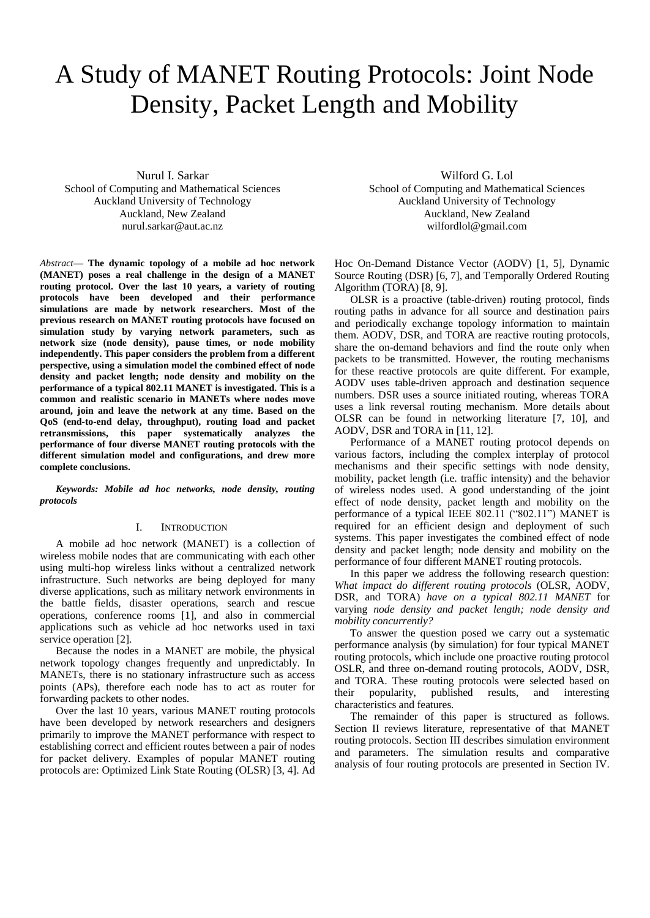# A Study of MANET Routing Protocols: Joint Node Density, Packet Length and Mobility

Nurul I. Sarkar School of Computing and Mathematical Sciences Auckland University of Technology Auckland, New Zealand nurul.sarkar@aut.ac.nz

*Abstract***— The dynamic topology of a mobile ad hoc network (MANET) poses a real challenge in the design of a MANET routing protocol. Over the last 10 years, a variety of routing protocols have been developed and their performance simulations are made by network researchers. Most of the previous research on MANET routing protocols have focused on simulation study by varying network parameters, such as network size (node density), pause times, or node mobility independently. This paper considers the problem from a different perspective, using a simulation model the combined effect of node density and packet length; node density and mobility on the performance of a typical 802.11 MANET is investigated. This is a common and realistic scenario in MANETs where nodes move around, join and leave the network at any time. Based on the QoS (end-to-end delay, throughput), routing load and packet retransmissions, this paper systematically analyzes the performance of four diverse MANET routing protocols with the different simulation model and configurations, and drew more complete conclusions.** 

*Keywords: Mobile ad hoc networks, node density, routing protocols*

## I. INTRODUCTION

A mobile ad hoc network (MANET) is a collection of wireless mobile nodes that are communicating with each other using multi-hop wireless links without a centralized network infrastructure. Such networks are being deployed for many diverse applications, such as military network environments in the battle fields, disaster operations, search and rescue operations, conference rooms [1], and also in commercial applications such as vehicle ad hoc networks used in taxi service operation [2].

Because the nodes in a MANET are mobile, the physical network topology changes frequently and unpredictably. In MANETs, there is no stationary infrastructure such as access points (APs), therefore each node has to act as router for forwarding packets to other nodes.

Over the last 10 years, various MANET routing protocols have been developed by network researchers and designers primarily to improve the MANET performance with respect to establishing correct and efficient routes between a pair of nodes for packet delivery. Examples of popular MANET routing protocols are: Optimized Link State Routing (OLSR) [3, 4]. Ad

Wilford G. Lol School of Computing and Mathematical Sciences Auckland University of Technology Auckland, New Zealand wilfordlol@gmail.com

Hoc On-Demand Distance Vector (AODV) [1, 5], Dynamic Source Routing (DSR) [6, 7], and Temporally Ordered Routing Algorithm (TORA) [8, 9].

OLSR is a proactive (table-driven) routing protocol, finds routing paths in advance for all source and destination pairs and periodically exchange topology information to maintain them. AODV, DSR, and TORA are reactive routing protocols, share the on-demand behaviors and find the route only when packets to be transmitted. However, the routing mechanisms for these reactive protocols are quite different. For example, AODV uses table-driven approach and destination sequence numbers. DSR uses a source initiated routing, whereas TORA uses a link reversal routing mechanism. More details about OLSR can be found in networking literature [7, 10], and AODV, DSR and TORA in [11, 12].

Performance of a MANET routing protocol depends on various factors, including the complex interplay of protocol mechanisms and their specific settings with node density, mobility, packet length (i.e. traffic intensity) and the behavior of wireless nodes used. A good understanding of the joint effect of node density, packet length and mobility on the performance of a typical IEEE 802.11 ("802.11") MANET is required for an efficient design and deployment of such systems. This paper investigates the combined effect of node density and packet length; node density and mobility on the performance of four different MANET routing protocols.

In this paper we address the following research question: *What impact do different routing protocols* (OLSR, AODV, DSR, and TORA) *have on a typical 802.11 MANET* for varying *node density and packet length; node density and mobility concurrently?*

To answer the question posed we carry out a systematic performance analysis (by simulation) for four typical MANET routing protocols, which include one proactive routing protocol OSLR, and three on-demand routing protocols, AODV, DSR, and TORA. These routing protocols were selected based on their popularity, published results, and interesting characteristics and features.

The remainder of this paper is structured as follows. Section II reviews literature, representative of that MANET routing protocols. Section III describes simulation environment and parameters. The simulation results and comparative analysis of four routing protocols are presented in Section IV.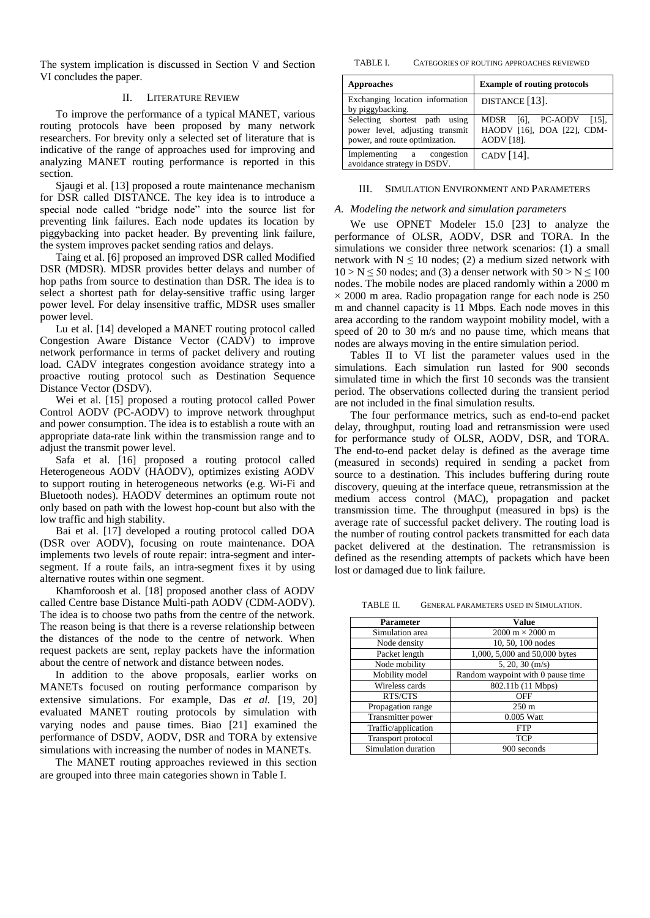The system implication is discussed in Section V and Section VI concludes the paper.

# II. LITERATURE REVIEW

To improve the performance of a typical MANET, various routing protocols have been proposed by many network researchers. For brevity only a selected set of literature that is indicative of the range of approaches used for improving and analyzing MANET routing performance is reported in this section.

Sjaugi et al. [13] proposed a route maintenance mechanism for DSR called DISTANCE. The key idea is to introduce a special node called "bridge node" into the source list for preventing link failures. Each node updates its location by piggybacking into packet header. By preventing link failure, the system improves packet sending ratios and delays.

Taing et al. [6] proposed an improved DSR called Modified DSR (MDSR). MDSR provides better delays and number of hop paths from source to destination than DSR. The idea is to select a shortest path for delay-sensitive traffic using larger power level. For delay insensitive traffic, MDSR uses smaller power level.

Lu et al. [14] developed a MANET routing protocol called Congestion Aware Distance Vector (CADV) to improve network performance in terms of packet delivery and routing load. CADV integrates congestion avoidance strategy into a proactive routing protocol such as Destination Sequence Distance Vector (DSDV).

Wei et al. [15] proposed a routing protocol called Power Control AODV (PC-AODV) to improve network throughput and power consumption. The idea is to establish a route with an appropriate data-rate link within the transmission range and to adjust the transmit power level.

Safa et al. [16] proposed a routing protocol called Heterogeneous AODV (HAODV), optimizes existing AODV to support routing in heterogeneous networks (e.g. Wi-Fi and Bluetooth nodes). HAODV determines an optimum route not only based on path with the lowest hop-count but also with the low traffic and high stability.

Bai et al. [17] developed a routing protocol called DOA (DSR over AODV), focusing on route maintenance. DOA implements two levels of route repair: intra-segment and intersegment. If a route fails, an intra-segment fixes it by using alternative routes within one segment.

Khamforoosh et al. [18] proposed another class of AODV called Centre base Distance Multi-path AODV (CDM-AODV). The idea is to choose two paths from the centre of the network. The reason being is that there is a reverse relationship between the distances of the node to the centre of network. When request packets are sent, replay packets have the information about the centre of network and distance between nodes.

In addition to the above proposals, earlier works on MANETs focused on routing performance comparison by extensive simulations. For example, Das *et al.* [19, 20] evaluated MANET routing protocols by simulation with varying nodes and pause times. Biao [21] examined the performance of DSDV, AODV, DSR and TORA by extensive simulations with increasing the number of nodes in MANETs.

The MANET routing approaches reviewed in this section are grouped into three main categories shown in Table I.

TABLE I. CATEGORIES OF ROUTING APPROACHES REVIEWED

| <b>Approaches</b>                                                                                  | <b>Example of routing protocols</b>                                       |
|----------------------------------------------------------------------------------------------------|---------------------------------------------------------------------------|
| Exchanging location information<br>by piggybacking.                                                | DISTANCE [13].                                                            |
| Selecting shortest path using<br>power level, adjusting transmit<br>power, and route optimization. | MDSR $[6]$ , PC-AODV $[15]$ ,<br>HAODV [16], DOA [22], CDM-<br>AODV [18]. |
| Implementing a congestion<br>avoidance strategy in DSDV.                                           | CADV $[14]$ .                                                             |

#### III. SIMULATION ENVIRONMENT AND PARAMETERS

#### *A. Modeling the network and simulation parameters*

We use OPNET Modeler 15.0 [23] to analyze the performance of OLSR, AODV, DSR and TORA. In the simulations we consider three network scenarios: (1) a small network with  $N \le 10$  nodes; (2) a medium sized network with  $10 > N \le 50$  nodes; and (3) a denser network with  $50 > N \le 100$ nodes. The mobile nodes are placed randomly within a 2000 m  $\times$  2000 m area. Radio propagation range for each node is 250 m and channel capacity is 11 Mbps. Each node moves in this area according to the random waypoint mobility model, with a speed of 20 to 30 m/s and no pause time, which means that nodes are always moving in the entire simulation period.

Tables II to VI list the parameter values used in the simulations. Each simulation run lasted for 900 seconds simulated time in which the first 10 seconds was the transient period. The observations collected during the transient period are not included in the final simulation results.

The four performance metrics, such as end-to-end packet delay, throughput, routing load and retransmission were used for performance study of OLSR, AODV, DSR, and TORA. The end-to-end packet delay is defined as the average time (measured in seconds) required in sending a packet from source to a destination. This includes buffering during route discovery, queuing at the interface queue, retransmission at the medium access control (MAC), propagation and packet transmission time. The throughput (measured in bps) is the average rate of successful packet delivery. The routing load is the number of routing control packets transmitted for each data packet delivered at the destination. The retransmission is defined as the resending attempts of packets which have been lost or damaged due to link failure.

TABLE II. GENERAL PARAMETERS USED IN SIMULATION.

| <b>Parameter</b>    | <b>Value</b>                           |
|---------------------|----------------------------------------|
| Simulation area     | $2000 \text{ m} \times 2000 \text{ m}$ |
| Node density        | 10, 50, 100 nodes                      |
| Packet length       | 1,000, 5,000 and 50,000 bytes          |
| Node mobility       | $5, 20, 30$ (m/s)                      |
| Mobility model      | Random waypoint with 0 pause time      |
| Wireless cards      | 802.11b (11 Mbps)                      |
| RTS/CTS             | <b>OFF</b>                             |
| Propagation range   | $250 \text{ m}$                        |
| Transmitter power   | 0.005 Watt                             |
| Traffic/application | <b>FTP</b>                             |
| Transport protocol  | <b>TCP</b>                             |
| Simulation duration | 900 seconds                            |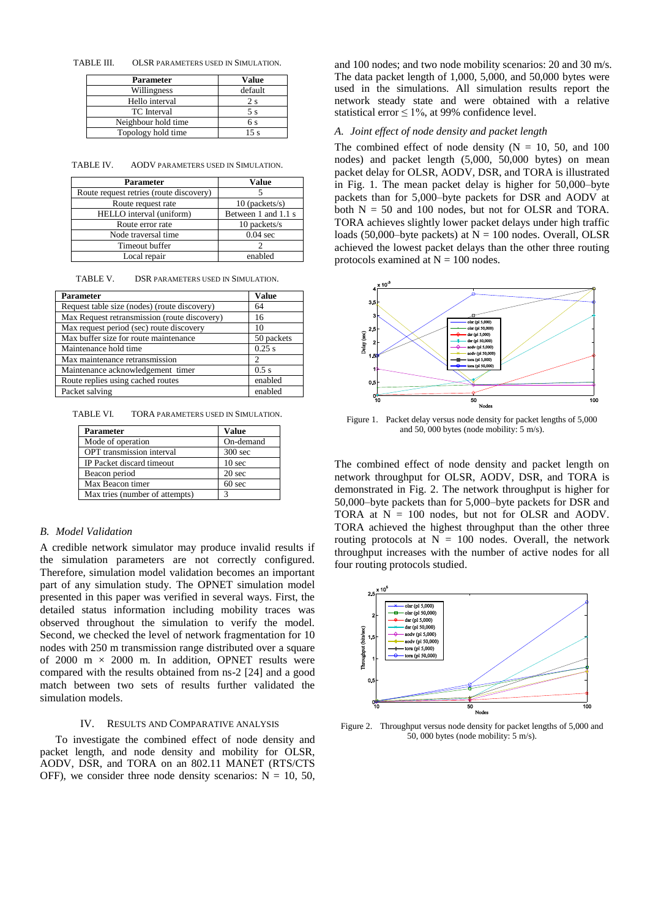TABLE III. OLSR PARAMETERS USED IN SIMULATION.

| <b>Parameter</b>    | <b>Value</b> |
|---------------------|--------------|
| Willingness         | default      |
| Hello interval      | 2 s          |
| <b>TC</b> Interval  | 5 s          |
| Neighbour hold time | 6 s          |
| Topology hold time  | ء 15         |

TABLE IV. AODV PARAMETERS USED IN SIMULATION.

| <b>Parameter</b>                        | Value               |
|-----------------------------------------|---------------------|
| Route request retries (route discovery) |                     |
| Route request rate                      | $10$ (packets/s)    |
| HELLO interval (uniform)                | Between 1 and 1.1 s |
| Route error rate                        | 10 packets/s        |
| Node traversal time                     | $0.04$ sec          |
| Timeout buffer                          |                     |
| Local repair                            | enabled             |

TABLE V. DSR PARAMETERS USED IN SIMULATION.

| <b>Parameter</b>                             | <b>Value</b> |
|----------------------------------------------|--------------|
| Request table size (nodes) (route discovery) | 64           |
| Max Request retransmission (route discovery) | 16           |
| Max request period (sec) route discovery     | 10           |
| Max buffer size for route maintenance        | 50 packets   |
| Maintenance hold time                        | 0.25 s       |
| Max maintenance retransmission               | っ            |
| Maintenance acknowledgement timer            | $0.5$ s      |
| Route replies using cached routes            | enabled      |
| Packet salving                               | enabled      |

TABLE VI. TORA PARAMETERS USED IN SIMULATION.

| <b>Parameter</b>                 | <b>Value</b>      |
|----------------------------------|-------------------|
| Mode of operation                | On-demand         |
| <b>OPT</b> transmission interval | $300$ sec         |
| IP Packet discard timeout        | 10 <sub>sec</sub> |
| Beacon period                    | 20 sec            |
| Max Beacon timer                 | 60 <sub>sec</sub> |
| Max tries (number of attempts)   | 3                 |

# *B. Model Validation*

A credible network simulator may produce invalid results if the simulation parameters are not correctly configured. Therefore, simulation model validation becomes an important part of any simulation study. The OPNET simulation model presented in this paper was verified in several ways. First, the detailed status information including mobility traces was observed throughout the simulation to verify the model. Second, we checked the level of network fragmentation for 10 nodes with 250 m transmission range distributed over a square of 2000 m  $\times$  2000 m. In addition, OPNET results were compared with the results obtained from ns-2 [24] and a good match between two sets of results further validated the simulation models.

# IV. RESULTS AND COMPARATIVE ANALYSIS

To investigate the combined effect of node density and packet length, and node density and mobility for OLSR, AODV, DSR, and TORA on an 802.11 MANET (RTS/CTS OFF), we consider three node density scenarios:  $N = 10, 50,$  and 100 nodes; and two node mobility scenarios: 20 and 30 m/s. The data packet length of 1,000, 5,000, and 50,000 bytes were used in the simulations. All simulation results report the network steady state and were obtained with a relative statistical error  $\leq 1\%$ , at 99% confidence level.

# *A. Joint effect of node density and packet length*

The combined effect of node density  $(N = 10, 50,$  and 100 nodes) and packet length (5,000, 50,000 bytes) on mean packet delay for OLSR, AODV, DSR, and TORA is illustrated in Fig. 1. The mean packet delay is higher for 50,000–byte packets than for 5,000–byte packets for DSR and AODV at both  $N = 50$  and 100 nodes, but not for OLSR and TORA. TORA achieves slightly lower packet delays under high traffic loads (50,000–byte packets) at  $N = 100$  nodes. Overall, OLSR achieved the lowest packet delays than the other three routing protocols examined at  $N = 100$  nodes.



Figure 1. Packet delay versus node density for packet lengths of 5,000 and 50, 000 bytes (node mobility: 5 m/s).

The combined effect of node density and packet length on network throughput for OLSR, AODV, DSR, and TORA is demonstrated in Fig. 2. The network throughput is higher for 50,000–byte packets than for 5,000–byte packets for DSR and TORA at  $N = 100$  nodes, but not for OLSR and AODV. TORA achieved the highest throughput than the other three routing protocols at  $N = 100$  nodes. Overall, the network throughput increases with the number of active nodes for all four routing protocols studied.



Figure 2. Throughput versus node density for packet lengths of 5,000 and 50, 000 bytes (node mobility: 5 m/s).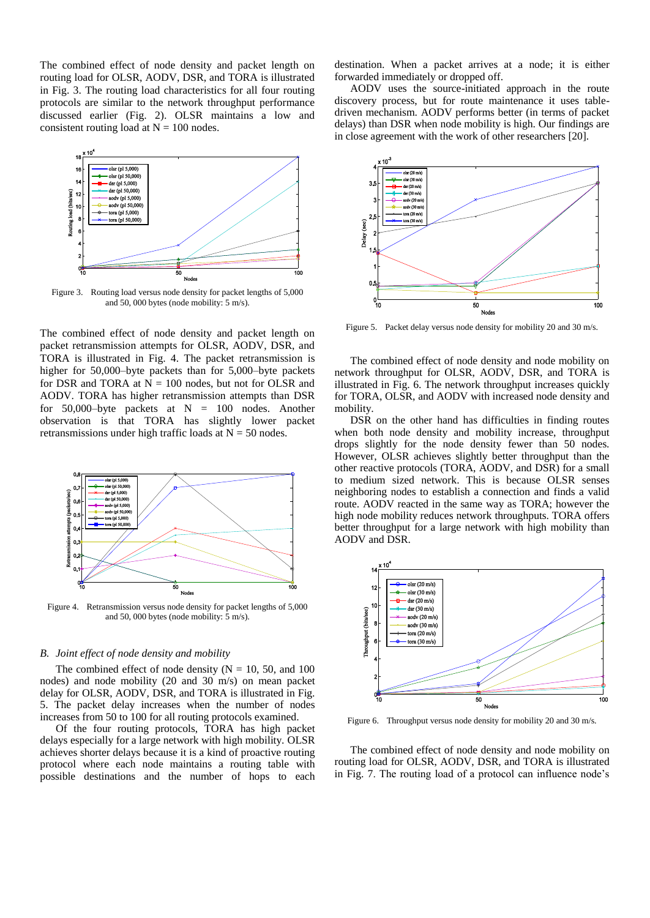The combined effect of node density and packet length on routing load for OLSR, AODV, DSR, and TORA is illustrated in Fig. 3. The routing load characteristics for all four routing protocols are similar to the network throughput performance discussed earlier (Fig. 2). OLSR maintains a low and consistent routing load at  $N = 100$  nodes.



Figure 3. Routing load versus node density for packet lengths of 5,000 and 50, 000 bytes (node mobility: 5 m/s).

The combined effect of node density and packet length on packet retransmission attempts for OLSR, AODV, DSR, and TORA is illustrated in Fig. 4. The packet retransmission is higher for 50,000–byte packets than for 5,000–byte packets for DSR and TORA at  $N = 100$  nodes, but not for OLSR and AODV. TORA has higher retransmission attempts than DSR for 50,000-byte packets at  $N = 100$  nodes. Another observation is that TORA has slightly lower packet retransmissions under high traffic loads at  $N = 50$  nodes.



Figure 4. Retransmission versus node density for packet lengths of 5,000 and 50, 000 bytes (node mobility: 5 m/s).

## *B. Joint effect of node density and mobility*

The combined effect of node density ( $N = 10$ , 50, and 100 nodes) and node mobility (20 and 30 m/s) on mean packet delay for OLSR, AODV, DSR, and TORA is illustrated in Fig. 5. The packet delay increases when the number of nodes increases from 50 to 100 for all routing protocols examined.

Of the four routing protocols, TORA has high packet delays especially for a large network with high mobility. OLSR achieves shorter delays because it is a kind of proactive routing protocol where each node maintains a routing table with possible destinations and the number of hops to each

destination. When a packet arrives at a node; it is either forwarded immediately or dropped off.

AODV uses the source-initiated approach in the route discovery process, but for route maintenance it uses tabledriven mechanism. AODV performs better (in terms of packet delays) than DSR when node mobility is high. Our findings are in close agreement with the work of other researchers [20].



Figure 5. Packet delay versus node density for mobility 20 and 30 m/s.

The combined effect of node density and node mobility on network throughput for OLSR, AODV, DSR, and TORA is illustrated in Fig. 6. The network throughput increases quickly for TORA, OLSR, and AODV with increased node density and mobility.

DSR on the other hand has difficulties in finding routes when both node density and mobility increase, throughput drops slightly for the node density fewer than 50 nodes. However, OLSR achieves slightly better throughput than the other reactive protocols (TORA, AODV, and DSR) for a small to medium sized network. This is because OLSR senses neighboring nodes to establish a connection and finds a valid route. AODV reacted in the same way as TORA; however the high node mobility reduces network throughputs. TORA offers better throughput for a large network with high mobility than AODV and DSR.



Figure 6. Throughput versus node density for mobility 20 and 30 m/s.

The combined effect of node density and node mobility on routing load for OLSR, AODV, DSR, and TORA is illustrated in Fig. 7. The routing load of a protocol can influence node's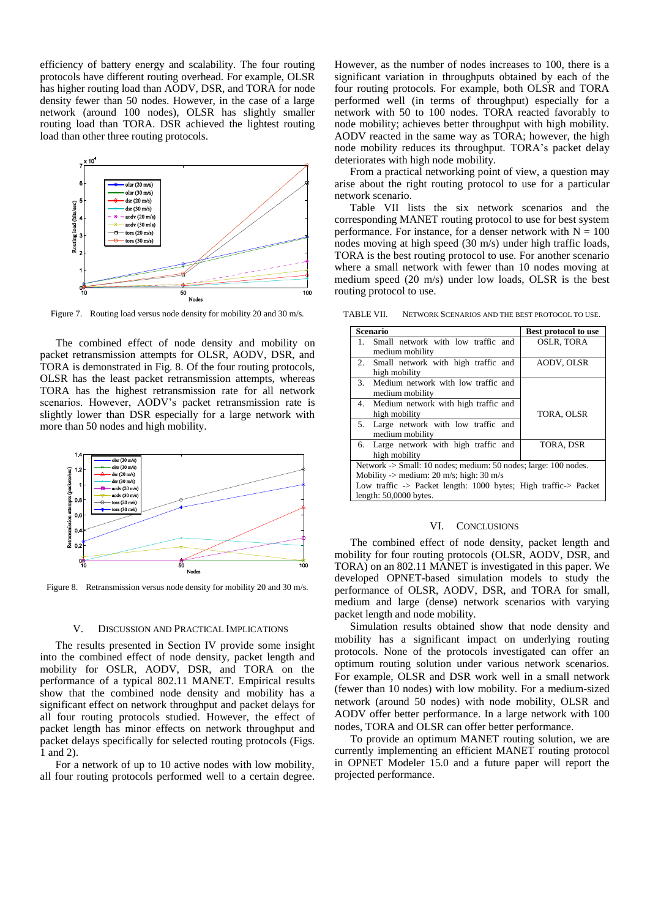efficiency of battery energy and scalability. The four routing protocols have different routing overhead. For example, OLSR has higher routing load than AODV, DSR, and TORA for node density fewer than 50 nodes. However, in the case of a large network (around 100 nodes), OLSR has slightly smaller routing load than TORA. DSR achieved the lightest routing load than other three routing protocols.



Figure 7. Routing load versus node density for mobility 20 and 30 m/s.

The combined effect of node density and mobility on packet retransmission attempts for OLSR, AODV, DSR, and TORA is demonstrated in Fig. 8. Of the four routing protocols, OLSR has the least packet retransmission attempts, whereas TORA has the highest retransmission rate for all network scenarios. However, AODV's packet retransmission rate is slightly lower than DSR especially for a large network with more than 50 nodes and high mobility.



Figure 8. Retransmission versus node density for mobility 20 and 30 m/s.

#### V. DISCUSSION AND PRACTICAL IMPLICATIONS

The results presented in Section IV provide some insight into the combined effect of node density, packet length and mobility for OSLR, AODV, DSR, and TORA on the performance of a typical 802.11 MANET. Empirical results show that the combined node density and mobility has a significant effect on network throughput and packet delays for all four routing protocols studied. However, the effect of packet length has minor effects on network throughput and packet delays specifically for selected routing protocols (Figs. 1 and 2).

For a network of up to 10 active nodes with low mobility, all four routing protocols performed well to a certain degree. However, as the number of nodes increases to 100, there is a significant variation in throughputs obtained by each of the four routing protocols. For example, both OLSR and TORA performed well (in terms of throughput) especially for a network with 50 to 100 nodes. TORA reacted favorably to node mobility; achieves better throughput with high mobility. AODV reacted in the same way as TORA; however, the high node mobility reduces its throughput. TORA's packet delay deteriorates with high node mobility.

From a practical networking point of view, a question may arise about the right routing protocol to use for a particular network scenario.

Table VII lists the six network scenarios and the corresponding MANET routing protocol to use for best system performance. For instance, for a denser network with  $N = 100$ nodes moving at high speed (30 m/s) under high traffic loads, TORA is the best routing protocol to use. For another scenario where a small network with fewer than 10 nodes moving at medium speed (20 m/s) under low loads, OLSR is the best routing protocol to use.

TABLE VII. NETWORK SCENARIOS AND THE BEST PROTOCOL TO USE.

| <b>Scenario</b>                                                 | <b>Best protocol to use</b> |  |
|-----------------------------------------------------------------|-----------------------------|--|
| Small network with low traffic and<br>1.                        | <b>OSLR, TORA</b>           |  |
| medium mobility                                                 |                             |  |
| 2. Small network with high traffic and                          | AODV, OLSR                  |  |
| high mobility                                                   |                             |  |
| Medium network with low traffic and<br>3.                       |                             |  |
| medium mobility                                                 |                             |  |
| 4. Medium network with high traffic and                         |                             |  |
| high mobility                                                   | TORA, OLSR                  |  |
| Large network with low traffic and<br>5.                        |                             |  |
| medium mobility                                                 |                             |  |
| Large network with high traffic and<br>6.                       | TORA, DSR                   |  |
| high mobility                                                   |                             |  |
| Network -> Small: 10 nodes; medium: 50 nodes; large: 100 nodes. |                             |  |
| Mobility -> medium: $20 \text{ m/s}$ ; high: $30 \text{ m/s}$   |                             |  |
| Low traffic -> Packet length: 1000 bytes; High traffic-> Packet |                             |  |
| length: $50,0000$ bytes.                                        |                             |  |

#### VI. CONCLUSIONS

The combined effect of node density, packet length and mobility for four routing protocols (OLSR, AODV, DSR, and TORA) on an 802.11 MANET is investigated in this paper. We developed OPNET-based simulation models to study the performance of OLSR, AODV, DSR, and TORA for small, medium and large (dense) network scenarios with varying packet length and node mobility.

Simulation results obtained show that node density and mobility has a significant impact on underlying routing protocols. None of the protocols investigated can offer an optimum routing solution under various network scenarios. For example, OLSR and DSR work well in a small network (fewer than 10 nodes) with low mobility. For a medium-sized network (around 50 nodes) with node mobility, OLSR and AODV offer better performance. In a large network with 100 nodes, TORA and OLSR can offer better performance.

To provide an optimum MANET routing solution, we are currently implementing an efficient MANET routing protocol in OPNET Modeler 15.0 and a future paper will report the projected performance.